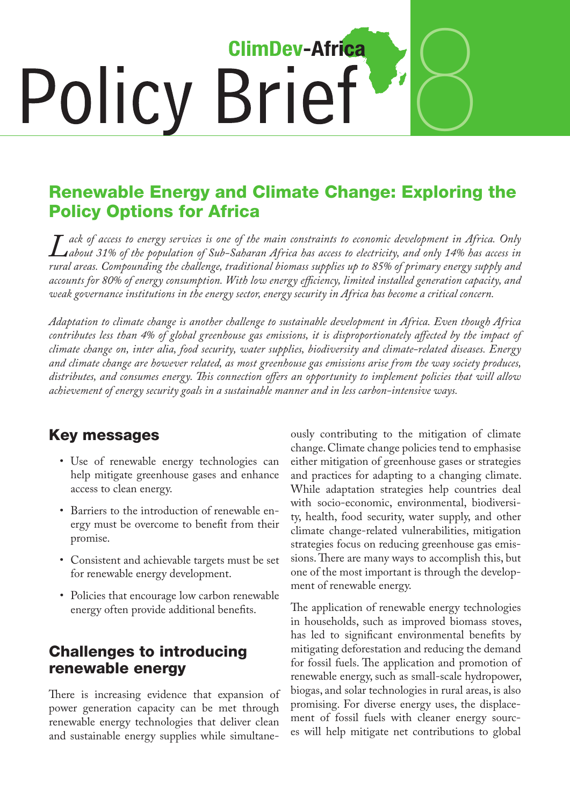# 8 **ClimDev-Africa** Policy Brief

# Renewable Energy and Climate Change: Exploring the Policy Options for Africa

*Lack of access to energy services is one of the main constraints to economic development in Africa. Only about 31% of the population of Sub-Saharan Africa has access to electricity, and only 14% has access in rural areas. Compounding the challenge, traditional biomass supplies up to 85% of primary energy supply and accounts for 80% of energy consumption. With low energy efficiency, limited installed generation capacity, and weak governance institutions in the energy sector, energy security in Africa has become a critical concern.*

*Adaptation to climate change is another challenge to sustainable development in Africa. Even though Africa contributes less than 4% of global greenhouse gas emissions, it is disproportionately affected by the impact of climate change on, inter alia, food security, water supplies, biodiversity and climate-related diseases. Energy and climate change are however related, as most greenhouse gas emissions arise from the way society produces, distributes, and consumes energy. This connection offers an opportunity to implement policies that will allow achievement of energy security goals in a sustainable manner and in less carbon-intensive ways.*

### Key messages

- • Use of renewable energy technologies can help mitigate greenhouse gases and enhance access to clean energy.
- • Barriers to the introduction of renewable energy must be overcome to benefit from their promise.
- • Consistent and achievable targets must be set for renewable energy development.
- Policies that encourage low carbon renewable energy often provide additional benefits.

#### Challenges to introducing renewable energy

There is increasing evidence that expansion of power generation capacity can be met through renewable energy technologies that deliver clean and sustainable energy supplies while simultaneously contributing to the mitigation of climate change.Climate change policies tend to emphasise either mitigation of greenhouse gases or strategies and practices for adapting to a changing climate. While adaptation strategies help countries deal with socio-economic, environmental, biodiversity, health, food security, water supply, and other climate change-related vulnerabilities, mitigation strategies focus on reducing greenhouse gas emissions.There are many ways to accomplish this, but one of the most important is through the development of renewable energy.

The application of renewable energy technologies in households, such as improved biomass stoves, has led to significant environmental benefits by mitigating deforestation and reducing the demand for fossil fuels. The application and promotion of renewable energy, such as small-scale hydropower, biogas, and solar technologies in rural areas, is also promising. For diverse energy uses, the displacement of fossil fuels with cleaner energy sources will help mitigate net contributions to global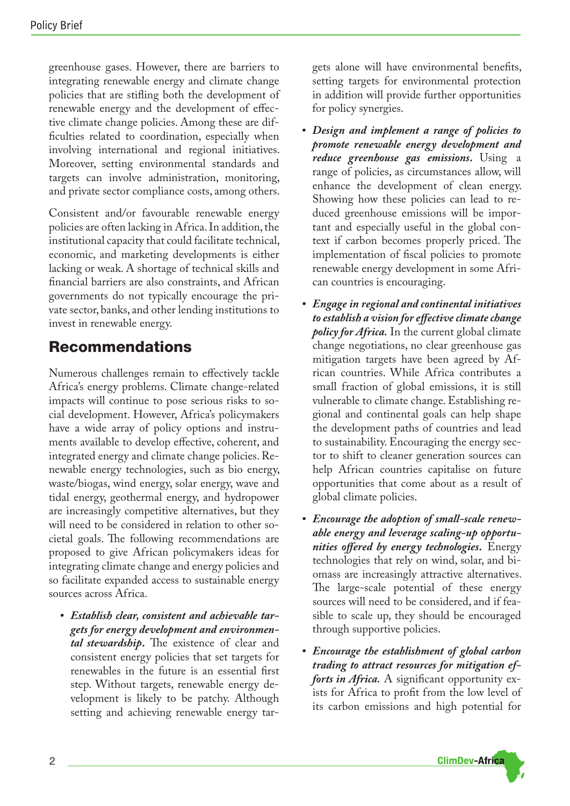greenhouse gases. However, there are barriers to integrating renewable energy and climate change policies that are stifling both the development of renewable energy and the development of effective climate change policies. Among these are difficulties related to coordination, especially when involving international and regional initiatives. Moreover, setting environmental standards and targets can involve administration, monitoring, and private sector compliance costs, among others.

Consistent and/or favourable renewable energy policies are often lacking in Africa. In addition, the institutional capacity that could facilitate technical, economic, and marketing developments is either lacking or weak. A shortage of technical skills and financial barriers are also constraints, and African governments do not typically encourage the private sector, banks, and other lending institutions to invest in renewable energy.

## Recommendations

Numerous challenges remain to effectively tackle Africa's energy problems. Climate change-related impacts will continue to pose serious risks to social development. However, Africa's policymakers have a wide array of policy options and instruments available to develop effective, coherent, and integrated energy and climate change policies.Renewable energy technologies, such as bio energy, waste/biogas, wind energy, solar energy, wave and tidal energy, geothermal energy, and hydropower are increasingly competitive alternatives, but they will need to be considered in relation to other societal goals. The following recommendations are proposed to give African policymakers ideas for integrating climate change and energy policies and so facilitate expanded access to sustainable energy sources across Africa.

*• Establish clear, consistent and achievable targets for energy development and environmental stewardship***.** The existence of clear and consistent energy policies that set targets for renewables in the future is an essential first step. Without targets, renewable energy development is likely to be patchy. Although setting and achieving renewable energy targets alone will have environmental benefits, setting targets for environmental protection in addition will provide further opportunities for policy synergies.

- *• Design and implement a range of policies to promote renewable energy development and reduce greenhouse gas emissions***.** Using a range of policies, as circumstances allow, will enhance the development of clean energy. Showing how these policies can lead to reduced greenhouse emissions will be important and especially useful in the global context if carbon becomes properly priced. The implementation of fiscal policies to promote renewable energy development in some African countries is encouraging.
- *• Engage in regional and continental initiatives to establish a vision foreffectiveclimatechange policy for Africa.* In the current global climate change negotiations, no clear greenhouse gas mitigation targets have been agreed by African countries. While Africa contributes a small fraction of global emissions, it is still vulnerable to climate change.Establishing regional and continental goals can help shape the development paths of countries and lead to sustainability. Encouraging the energy sector to shift to cleaner generation sources can help African countries capitalise on future opportunities that come about as a result of global climate policies.
- Encourage the adoption of small-scale renew*able energy and leverage scaling-up opportunities offered by energy technologies***.** Energy technologies that rely on wind, solar, and biomass are increasingly attractive alternatives. The large-scale potential of these energy sources will need to be considered, and if feasible to scale up, they should be encouraged through supportive policies.
- *• Encourage the establishment of global carbon trading to attract resources for mitigation efforts in Africa.* A significant opportunity exists for Africa to profit from the low level of its carbon emissions and high potential for